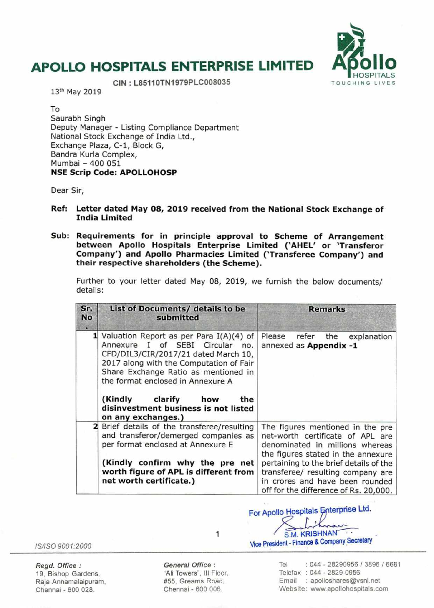# **APOLLO HOSPITALS ENTERPRISE LIMITED APOLLO HOSPITALS ENTERPRISE LIMITED APPOLLO**



 $CIN : L85110T N1979PLC008035$ 

13th May 2019

To Saurabh Singh Deputy Manager - Listing Compliance Department National Stock Exchange of India Ltd., Exchange Plaza, C-1, Block G, Bandra Kurla Complex, Mumbai - 400 051 **NSE Scrip Code: APOLLOHOSP** 

Dear Sir,

- **Ref: Letter dated May 08, 2019 received from the National Stock Exchange of India Limited**
- **Sub: Requirements for in principle approval to Scheme of Arrangement between Apollo Hospitals Enterprise Limited ('AHEL' or 'Transferor Company') and Apollo Pharmacies Limited ('Transferee Company') and their respective shareholders (the Scheme).**

Further to your letter dated May 08, 2019, we furnish the below documents/ details:

| Sr.<br><b>No</b><br>ш | List of Documents/ details to be<br>submitted                                                                                                                                                                                                                                                                                                        | <b>Remarks</b>                                                                                                                                                                                                                                                                                           |
|-----------------------|------------------------------------------------------------------------------------------------------------------------------------------------------------------------------------------------------------------------------------------------------------------------------------------------------------------------------------------------------|----------------------------------------------------------------------------------------------------------------------------------------------------------------------------------------------------------------------------------------------------------------------------------------------------------|
|                       | <b>1</b> Valuation Report as per Para $I(A)(4)$ of<br>Annexure I of SEBI Circular no.<br>CFD/DIL3/CIR/2017/21 dated March 10,<br>2017 along with the Computation of Fair<br>Share Exchange Ratio as mentioned in<br>the format enclosed in Annexure A<br>(Kindly clarify<br>how<br>the<br>disinvestment business is not listed<br>on any exchanges.) | Please<br>refer<br>the<br>explanation<br>annexed as Appendix -1                                                                                                                                                                                                                                          |
|                       | Brief details of the transferee/resulting<br>and transferor/demerged companies as<br>per format enclosed at Annexure E<br>(Kindly confirm why the pre net<br>worth figure of APL is different from<br>net worth certificate.)                                                                                                                        | The figures mentioned in the pre<br>net-worth certificate of APL are<br>denominated in millions whereas<br>the figures stated in the annexure<br>pertaining to the brief details of the<br>transferee/ resulting company are<br>in crores and have been rounded<br>off for the difference of Rs. 20,000. |

For Apollo Hospitals Enterprise Ltd.

IS/ISO 900 1:2000

19, Bishop Gardens, The Same "Ali Towers", III Floor, Naia Annamalaipuram, National St. Creams Road, Raja Annamalaipuram,  $\begin{array}{ccc} \text{Raja} & \text{Aena} \\ \text{Chennai} & \text{600 028} \end{array}$  Road, Chennai - 600 028.

**Regd. Office:** General Office:<br>
19. Bishop Gardens. **General Office:** 

1

S.M. KRISHNAN Vice President - **Finance** & Company SeCretary

> Tel : 044 - 28290956 / 3896 / 6681 Telefax : 044 - 2829 0956 Email : apolloshares@vsnl.net Website: www.apollohospitals.com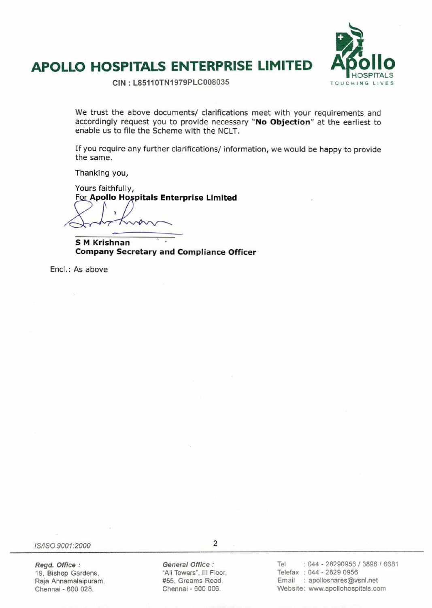



**CIN : L851101N1979PLC008035** 

We trust the above documents/ clarifications meet with your requirements and accordingly request you to provide necessary **"No Objection"** at the earliest to enable us to file the Scheme with the NCLT.

If you require any further clarifications/ information, we would be happy to provide the same.

Thanking you,

Yours faithfully, For **Apollo Ho,pitals Enterprise Limited** 

**S M Krishnan Company Secretary and Compliance Officer** 

Encl.: As above

IS/ISO 9001:2000 2

19, Bishop Gardens, The Main Towers", III Floor, "Ali Towers", III Floor, Raia Annamalaipuram, The Main Main H Raja Annamalaipuram, Chennai - 600 028. Chennai - 600 006.

Regd. Office: **General Office:** 

Tel : 044 - 28290956 / 3896 / 6681 Telefax : 044 - 2829 0956 Email : apolloshares@vsnl.net Website: www.apollohospitals.com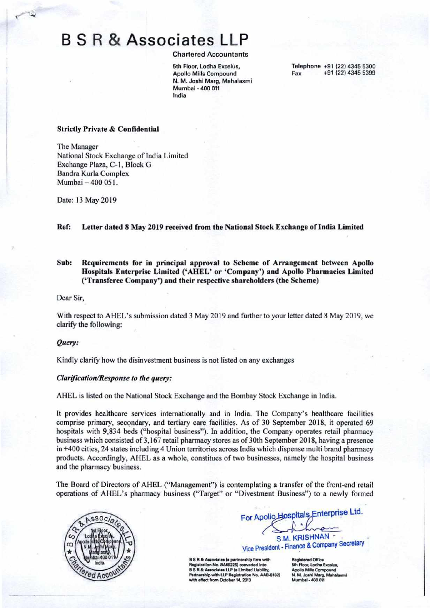# B S R & Associates LLP

Chartered Accountants

**5th Floor. Lodha Excelus, Apollo Mills Compound N. M. Joshi Marg. Mahalaxmi Mumbal** - **400 011 India** 

**Telephone +91 (22) 4345 5300 Fax +91 (22) 4345 5399** 

## **Strictly Private** & **Confidential**

The Manager National Stock Exchange of India Limited Exchange Plaza, C-I, Block G Bandra Kurla Complex Mumbai —400 051.

Date: 13 May 2019

#### **Ref: Letter dated 8 May 2019 received from the National Stock Exchange of India Limited**

# **Sub: Requirements for in principal approval to Scheme of Arrangement between Apollo Hospitals Enterprise Limited ('AHEL' or 'Company') and Apollo Pharmacies Limited ('Transferee Company') and their respective shareholders (the Scheme)**

Dear Sir,

With respect to AHEL's submission dated 3 May 2019 and further to your letter dated 8 May 2019, we clarify the following:

#### *Query:*

Kindly clarify how the disinvestment business is not listed on any exchanges

### *CIarflcaiion/Response to the query:*

AHEL is listed on the National Stock Exchange and the Bombay Stock Exchange in India.

It provides healthcare services internationally and in India. The Company's healthcare facilities comprise primary, secondary, and tertiary care facilities. As of 30 September 2018, it operated 69 hospitals with 9,834 beds ("hospital business"). In addition, the Company operates retail pharmacy business which consisted of 3,167 retail pharmacy stores as of 30th September 2018, having a presence in +400 cities, 24 states including 4 Union territories across India which dispense multi brand pharmacy products. Accordingly, AHEL as a whole, constitues of two businesses, namely the hospital business and the pharmacy business.

The Board of Directors of AHEL ("Management") is contemplating a transfer of the front-end retail operations of AHEL's pharmacy business ("Target" or "Divestment Business") to a newly formed



For Apollo Hospitals Enterprise Ltd. S.M. KRISHNAN -

Vice President - Finance & Company Secretary

**B S R & Associates (a partnership firm with Rstration No. BA692261 converted into B S R & Associates LLP (a Limited Liability,<br>Partnership with LLP Registration No. AAB-8182) wifect from October 14, 2013** 

sistered Offic **5th Floor, Lodha Excelus Apollo Mills Compound<br>N. M. Joshi Marg. Mahalaxmi** t**bal** - 400 01